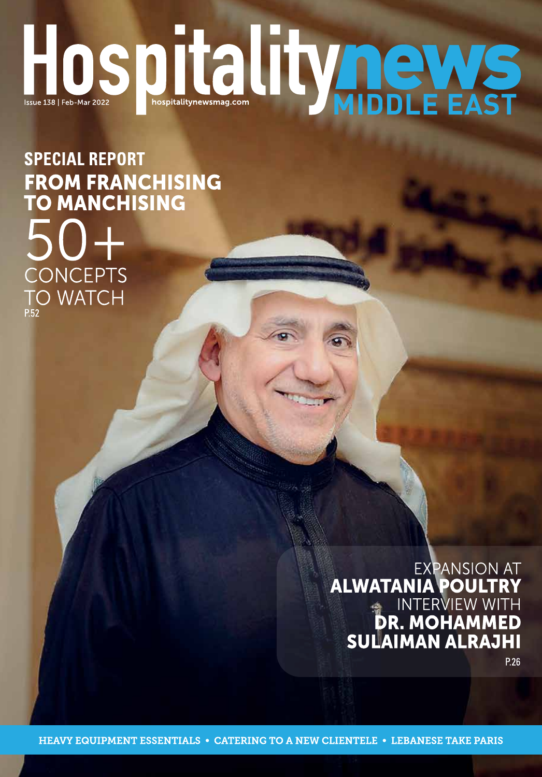# HOSDIC INTERNATION

**SPECIAL REPORT** FROM FRANCHISING<br>TO MANCHISING CONCEPTS **TO WATCH** 

> **EXPANSION AT ALWATANIA POULTRY<br>INTERVIEW WITH<br>DR. MOHAMMED<br>SULAIMAN ALRAJHI**

P.26

**HEAVY EQUIPMENT ESSENTIALS • CATERING TO A NEW CLIENTELE • LEBANESE TAKE PARIS**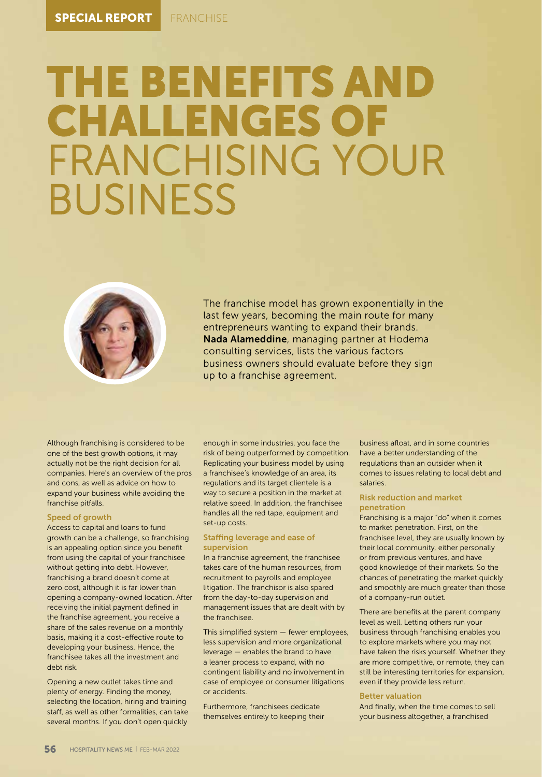# THE BENEFITS AND<br>CHALLENGES OF<br>FRANCHISING YOUR<br>BUSINESS



The franchise model has grown exponentially in the last few years, becoming the main route for many entrepreneurs wanting to expand their brands. Nada Alameddine, managing partner at Hodema consulting services, lists the various factors business owners should evaluate before they sign up to a franchise agreement.

Although franchising is considered to be one of the best growth options, it may actually not be the right decision for all companies. Here's an overview of the pros and cons, as well as advice on how to expand your business while avoiding the franchise pitfalls.

## Speed of growth

Access to capital and loans to fund growth can be a challenge, so franchising is an appealing option since you benefit from using the capital of your franchisee without getting into debt. However, franchising a brand doesn't come at zero cost, although it is far lower than opening a company-owned location. After receiving the initial payment defined in the franchise agreement, you receive a share of the sales revenue on a monthly basis, making it a cost-effective route to developing your business. Hence, the franchisee takes all the investment and debt risk.

Opening a new outlet takes time and plenty of energy. Finding the money, selecting the location, hiring and training staff, as well as other formalities, can take several months. If you don't open quickly

enough in some industries, you face the risk of being outperformed by competition. Replicating your business model by using a franchisee's knowledge of an area, its regulations and its target clientele is a way to secure a position in the market at relative speed. In addition, the franchisee handles all the red tape, equipment and set-up costs.

### Staffing leverage and ease of supervision

In a franchise agreement, the franchisee takes care of the human resources, from recruitment to payrolls and employee litigation. The franchisor is also spared from the day-to-day supervision and management issues that are dealt with by the franchisee.

This simplified system — fewer employees, less supervision and more organizational leverage — enables the brand to have a leaner process to expand, with no contingent liability and no involvement in case of employee or consumer litigations or accidents.

Furthermore, franchisees dedicate themselves entirely to keeping their business afloat, and in some countries have a better understanding of the regulations than an outsider when it comes to issues relating to local debt and salaries.

# Risk reduction and market penetration

Franchising is a major "do" when it comes to market penetration. First, on the franchisee level, they are usually known by their local community, either personally or from previous ventures, and have good knowledge of their markets. So the chances of penetrating the market quickly and smoothly are much greater than those of a company-run outlet.

There are benefits at the parent company level as well. Letting others run your business through franchising enables you to explore markets where you may not have taken the risks yourself. Whether they are more competitive, or remote, they can still be interesting territories for expansion, even if they provide less return.

### Better valuation

And finally, when the time comes to sell your business altogether, a franchised